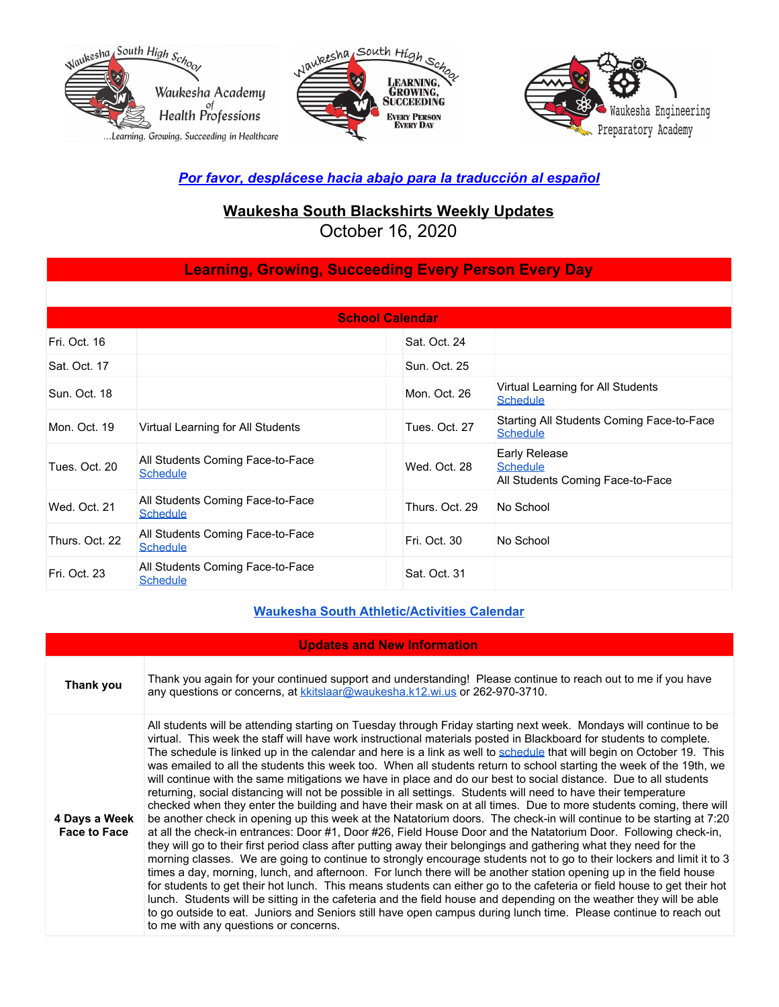





### *Por favor, desplácese hacia abajo para la traducción al español*

# **Waukesha South Blackshirts Weekly Updates**

October 16, 2020

### **Learning, Growing, Succeeding Every Person Every Day**

| <b>School Calendar</b> |                                                     |                |                                                                      |
|------------------------|-----------------------------------------------------|----------------|----------------------------------------------------------------------|
| Fri. Oct. 16           |                                                     | Sat. Oct. 24   |                                                                      |
| Sat. Oct. 17           |                                                     | Sun. Oct. 25   |                                                                      |
| Sun. Oct. 18           |                                                     | Mon. Oct. 26   | Virtual Learning for All Students<br><b>Schedule</b>                 |
| Mon. Oct. 19           | Virtual Learning for All Students                   | Tues. Oct. 27  | Starting All Students Coming Face-to-Face<br><b>Schedule</b>         |
| Tues, Oct. 20          | All Students Coming Face-to-Face<br><b>Schedule</b> | Wed. Oct. 28   | Early Release<br><b>Schedule</b><br>All Students Coming Face-to-Face |
| Wed. Oct. 21           | All Students Coming Face-to-Face<br><b>Schedule</b> | Thurs, Oct. 29 | No School                                                            |
| Thurs. Oct. 22         | All Students Coming Face-to-Face<br><b>Schedule</b> | Fri. Oct. 30   | No School                                                            |
| Fri. Oct. 23           | All Students Coming Face-to-Face<br><b>Schedule</b> | Sat. Oct. 31   |                                                                      |

#### **Waukesha South [Athletic/Activities](https://goblackshirts.com/) Calendar**

| <b>Updates and New Information</b>   |                                                                                                                                                                                                                                                                                                                                                                                                                                                                                                                                                                                                                                                                                                                                                                                                                                                                                                                                                                                                                                                                                                                                                                                                                                                                                                                                                                                                                                                                                                                                                                                                                                                                                                                                                                                                                                                                                |  |
|--------------------------------------|--------------------------------------------------------------------------------------------------------------------------------------------------------------------------------------------------------------------------------------------------------------------------------------------------------------------------------------------------------------------------------------------------------------------------------------------------------------------------------------------------------------------------------------------------------------------------------------------------------------------------------------------------------------------------------------------------------------------------------------------------------------------------------------------------------------------------------------------------------------------------------------------------------------------------------------------------------------------------------------------------------------------------------------------------------------------------------------------------------------------------------------------------------------------------------------------------------------------------------------------------------------------------------------------------------------------------------------------------------------------------------------------------------------------------------------------------------------------------------------------------------------------------------------------------------------------------------------------------------------------------------------------------------------------------------------------------------------------------------------------------------------------------------------------------------------------------------------------------------------------------------|--|
| Thank you                            | Thank you again for your continued support and understanding! Please continue to reach out to me if you have<br>any questions or concerns, at kkitslaar@waukesha.k12.wi.us or 262-970-3710.                                                                                                                                                                                                                                                                                                                                                                                                                                                                                                                                                                                                                                                                                                                                                                                                                                                                                                                                                                                                                                                                                                                                                                                                                                                                                                                                                                                                                                                                                                                                                                                                                                                                                    |  |
| 4 Days a Week<br><b>Face to Face</b> | All students will be attending starting on Tuesday through Friday starting next week. Mondays will continue to be<br>virtual. This week the staff will have work instructional materials posted in Blackboard for students to complete.<br>The schedule is linked up in the calendar and here is a link as well to schedule that will begin on October 19. This<br>was emailed to all the students this week too. When all students return to school starting the week of the 19th, we<br>will continue with the same mitigations we have in place and do our best to social distance. Due to all students<br>returning, social distancing will not be possible in all settings. Students will need to have their temperature<br>checked when they enter the building and have their mask on at all times. Due to more students coming, there will<br>be another check in opening up this week at the Natatorium doors. The check-in will continue to be starting at 7:20<br>at all the check-in entrances: Door #1, Door #26, Field House Door and the Natatorium Door. Following check-in,<br>they will go to their first period class after putting away their belongings and gathering what they need for the<br>morning classes. We are going to continue to strongly encourage students not to go to their lockers and limit it to 3<br>times a day, morning, lunch, and afternoon. For lunch there will be another station opening up in the field house<br>for students to get their hot lunch. This means students can either go to the cafeteria or field house to get their hot<br>lunch. Students will be sitting in the cafeteria and the field house and depending on the weather they will be able<br>to go outside to eat. Juniors and Seniors still have open campus during lunch time. Please continue to reach out<br>to me with any questions or concerns. |  |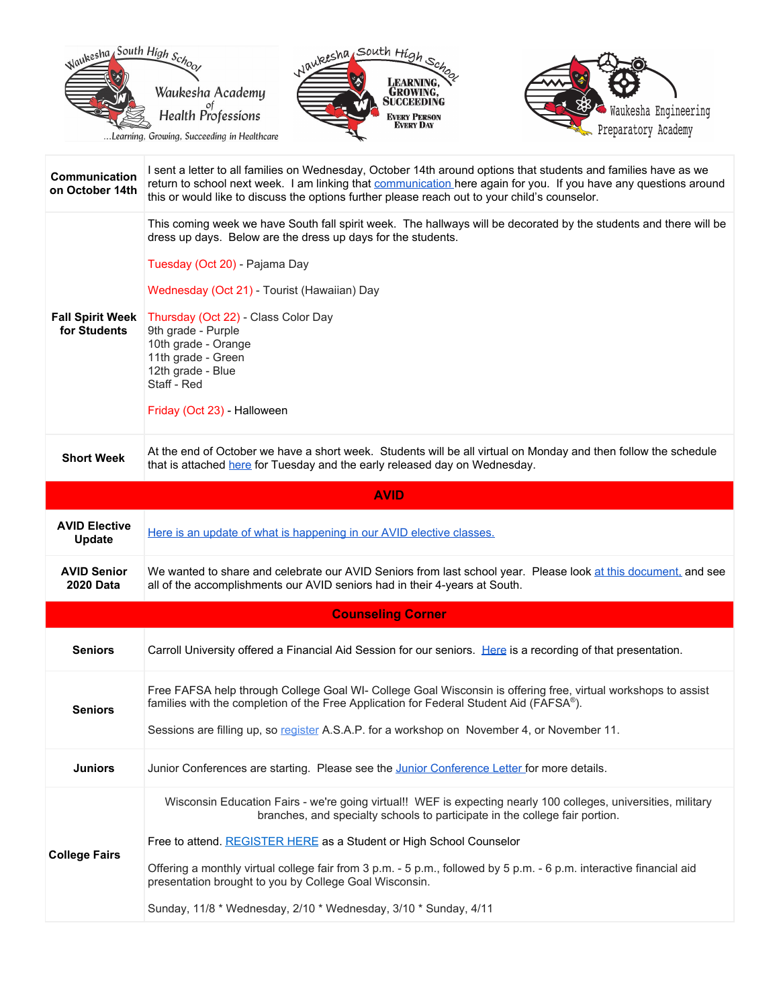

| Communication<br>on October 14th        | I sent a letter to all families on Wednesday, October 14th around options that students and families have as we<br>return to school next week. I am linking that communication here again for you. If you have any questions around<br>this or would like to discuss the options further please reach out to your child's counselor.                                                                                                           |  |
|-----------------------------------------|------------------------------------------------------------------------------------------------------------------------------------------------------------------------------------------------------------------------------------------------------------------------------------------------------------------------------------------------------------------------------------------------------------------------------------------------|--|
| <b>Fall Spirit Week</b><br>for Students | This coming week we have South fall spirit week. The hallways will be decorated by the students and there will be<br>dress up days. Below are the dress up days for the students.<br>Tuesday (Oct 20) - Pajama Day<br>Wednesday (Oct 21) - Tourist (Hawaiian) Day<br>Thursday (Oct 22) - Class Color Day<br>9th grade - Purple<br>10th grade - Orange<br>11th grade - Green<br>12th grade - Blue<br>Staff - Red<br>Friday (Oct 23) - Halloween |  |
| <b>Short Week</b>                       | At the end of October we have a short week. Students will be all virtual on Monday and then follow the schedule<br>that is attached here for Tuesday and the early released day on Wednesday.                                                                                                                                                                                                                                                  |  |
| <b>AVID</b>                             |                                                                                                                                                                                                                                                                                                                                                                                                                                                |  |
| <b>AVID Elective</b><br><b>Update</b>   | Here is an update of what is happening in our AVID elective classes.                                                                                                                                                                                                                                                                                                                                                                           |  |
| <b>AVID Senior</b><br>2020 Data         | We wanted to share and celebrate our AVID Seniors from last school year. Please look at this document, and see<br>all of the accomplishments our AVID seniors had in their 4-years at South.                                                                                                                                                                                                                                                   |  |
|                                         | <b>Counseling Corner</b>                                                                                                                                                                                                                                                                                                                                                                                                                       |  |
| <b>Seniors</b>                          | Carroll University offered a Financial Aid Session for our seniors. Here is a recording of that presentation.                                                                                                                                                                                                                                                                                                                                  |  |
| <b>Seniors</b>                          | Free FAFSA help through College Goal WI- College Goal Wisconsin is offering free, virtual workshops to assist<br>families with the completion of the Free Application for Federal Student Aid (FAFSA®).<br>Sessions are filling up, so register A.S.A.P. for a workshop on November 4, or November 11.                                                                                                                                         |  |
| <b>Juniors</b>                          | Junior Conferences are starting. Please see the Junior Conference Letter for more details.                                                                                                                                                                                                                                                                                                                                                     |  |
|                                         | Wisconsin Education Fairs - we're going virtual!! WEF is expecting nearly 100 colleges, universities, military<br>branches, and specialty schools to participate in the college fair portion.                                                                                                                                                                                                                                                  |  |
| <b>College Fairs</b>                    | Free to attend. REGISTER HERE as a Student or High School Counselor                                                                                                                                                                                                                                                                                                                                                                            |  |
|                                         | Offering a monthly virtual college fair from 3 p.m. - 5 p.m., followed by 5 p.m. - 6 p.m. interactive financial aid<br>presentation brought to you by College Goal Wisconsin.                                                                                                                                                                                                                                                                  |  |
|                                         | Sunday, 11/8 * Wednesday, 2/10 * Wednesday, 3/10 * Sunday, 4/11                                                                                                                                                                                                                                                                                                                                                                                |  |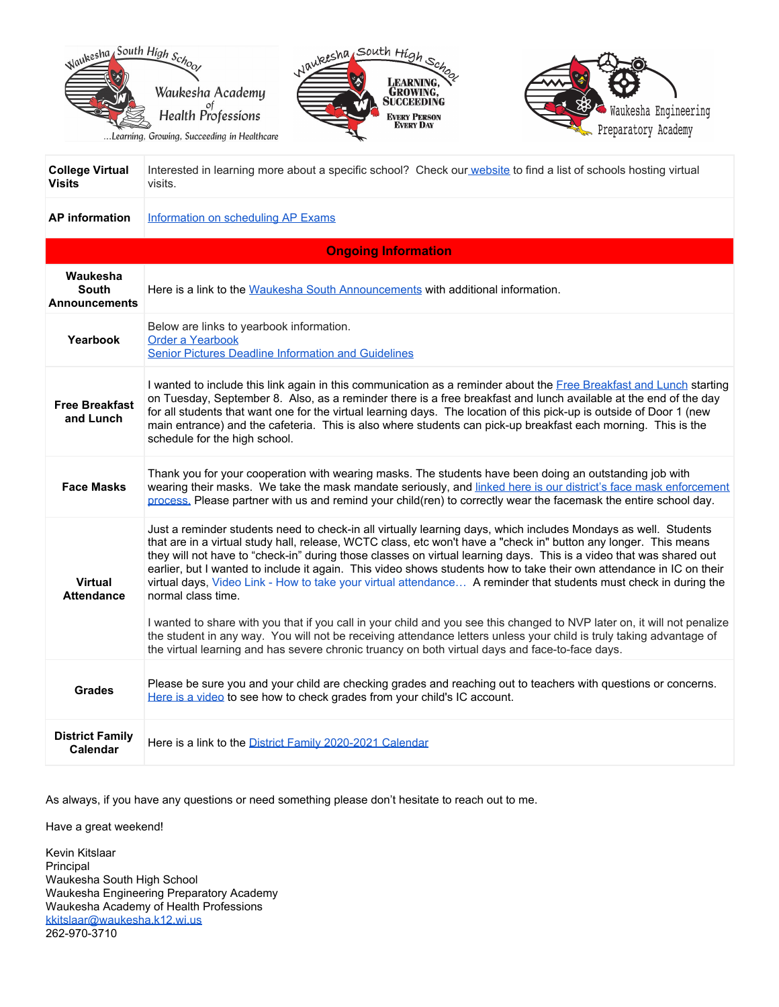





| <b>College Virtual</b><br><b>Visits</b>          | Interested in learning more about a specific school? Check our website to find a list of schools hosting virtual<br>visits.                                                                                                                                                                                                                                                                                                                                                                                                                                                                                                                                                                                                                                                                                                                                                                                                                                                        |
|--------------------------------------------------|------------------------------------------------------------------------------------------------------------------------------------------------------------------------------------------------------------------------------------------------------------------------------------------------------------------------------------------------------------------------------------------------------------------------------------------------------------------------------------------------------------------------------------------------------------------------------------------------------------------------------------------------------------------------------------------------------------------------------------------------------------------------------------------------------------------------------------------------------------------------------------------------------------------------------------------------------------------------------------|
| <b>AP</b> information                            | Information on scheduling AP Exams                                                                                                                                                                                                                                                                                                                                                                                                                                                                                                                                                                                                                                                                                                                                                                                                                                                                                                                                                 |
|                                                  | <b>Ongoing Information</b>                                                                                                                                                                                                                                                                                                                                                                                                                                                                                                                                                                                                                                                                                                                                                                                                                                                                                                                                                         |
| Waukesha<br><b>South</b><br><b>Announcements</b> | Here is a link to the Waukesha South Announcements with additional information.                                                                                                                                                                                                                                                                                                                                                                                                                                                                                                                                                                                                                                                                                                                                                                                                                                                                                                    |
| Yearbook                                         | Below are links to yearbook information.<br>Order a Yearbook<br><b>Senior Pictures Deadline Information and Guidelines</b>                                                                                                                                                                                                                                                                                                                                                                                                                                                                                                                                                                                                                                                                                                                                                                                                                                                         |
| <b>Free Breakfast</b><br>and Lunch               | I wanted to include this link again in this communication as a reminder about the Free Breakfast and Lunch starting<br>on Tuesday, September 8. Also, as a reminder there is a free breakfast and lunch available at the end of the day<br>for all students that want one for the virtual learning days. The location of this pick-up is outside of Door 1 (new<br>main entrance) and the cafeteria. This is also where students can pick-up breakfast each morning. This is the<br>schedule for the high school.                                                                                                                                                                                                                                                                                                                                                                                                                                                                  |
| <b>Face Masks</b>                                | Thank you for your cooperation with wearing masks. The students have been doing an outstanding job with<br>wearing their masks. We take the mask mandate seriously, and linked here is our district's face mask enforcement<br>process. Please partner with us and remind your child(ren) to correctly wear the facemask the entire school day.                                                                                                                                                                                                                                                                                                                                                                                                                                                                                                                                                                                                                                    |
| <b>Virtual</b><br><b>Attendance</b>              | Just a reminder students need to check-in all virtually learning days, which includes Mondays as well. Students<br>that are in a virtual study hall, release, WCTC class, etc won't have a "check in" button any longer. This means<br>they will not have to "check-in" during those classes on virtual learning days. This is a video that was shared out<br>earlier, but I wanted to include it again. This video shows students how to take their own attendance in IC on their<br>virtual days, Video Link - How to take your virtual attendance A reminder that students must check in during the<br>normal class time.<br>I wanted to share with you that if you call in your child and you see this changed to NVP later on, it will not penalize<br>the student in any way. You will not be receiving attendance letters unless your child is truly taking advantage of<br>the virtual learning and has severe chronic truancy on both virtual days and face-to-face days. |
| <b>Grades</b>                                    | Please be sure you and your child are checking grades and reaching out to teachers with questions or concerns.<br>Here is a video to see how to check grades from your child's IC account.                                                                                                                                                                                                                                                                                                                                                                                                                                                                                                                                                                                                                                                                                                                                                                                         |
| <b>District Family</b><br>Calendar               | Here is a link to the District Family 2020-2021 Calendar                                                                                                                                                                                                                                                                                                                                                                                                                                                                                                                                                                                                                                                                                                                                                                                                                                                                                                                           |

As always, if you have any questions or need something please don't hesitate to reach out to me.

Have a great weekend!

Kevin Kitslaar Principal Waukesha South High School Waukesha Engineering Preparatory Academy Waukesha Academy of Health Professions [kkitslaar@waukesha.k12.wi.us](mailto:kkitslaar@waukesha.k12.wi.us) 262-970-3710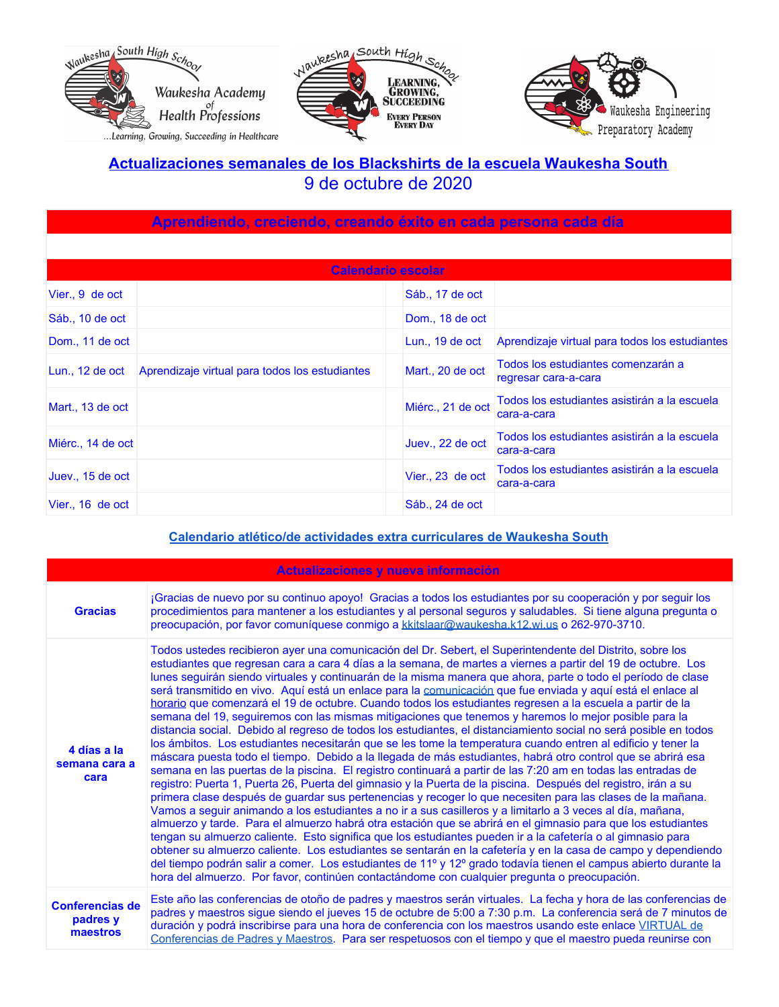





## **Actualizaciones semanales de los Blackshirts de la escuela Waukesha South** 9 de octubre de 2020

| Aprendiendo, creciendo, creando éxito en cada persona cada día |                                                |                   |                                                             |  |
|----------------------------------------------------------------|------------------------------------------------|-------------------|-------------------------------------------------------------|--|
|                                                                |                                                |                   |                                                             |  |
|                                                                | Calendario escolar                             |                   |                                                             |  |
| Vier., 9 de oct                                                |                                                | Sáb., 17 de oct   |                                                             |  |
| Sáb., 10 de oct                                                |                                                | Dom., 18 de oct   |                                                             |  |
| Dom., 11 de oct                                                |                                                | Lun., $19$ de oct | Aprendizaje virtual para todos los estudiantes              |  |
| Lun., 12 de oct                                                | Aprendizaje virtual para todos los estudiantes | Mart., 20 de oct  | Todos los estudiantes comenzarán a<br>regresar cara-a-cara  |  |
| Mart., 13 de oct                                               |                                                | Miérc., 21 de oct | Todos los estudiantes asistirán a la escuela<br>cara-a-cara |  |
| Miérc., 14 de oct                                              |                                                | Juev., 22 de oct  | Todos los estudiantes asistirán a la escuela<br>cara-a-cara |  |
| Juev., 15 de oct                                               |                                                | Vier., 23 de oct  | Todos los estudiantes asistirán a la escuela<br>cara-a-cara |  |
| Vier., 16 de oct                                               |                                                | Sáb., 24 de oct   |                                                             |  |

#### **Calendario atlético/de actividades extra [curriculares](https://goblackshirts.com/) de Waukesha South**

| Actualizaciones y nueva información            |                                                                                                                                                                                                                                                                                                                                                                                                                                                                                                                                                                                                                                                                                                                                                                                                                                                                                                                                                                                                                                                                                                                                                                                                                                                                                                                                                                                                                                                                                                                                                                                                                                                                                                                                                                                                                                                                                                                                                                                                                                                                  |  |
|------------------------------------------------|------------------------------------------------------------------------------------------------------------------------------------------------------------------------------------------------------------------------------------------------------------------------------------------------------------------------------------------------------------------------------------------------------------------------------------------------------------------------------------------------------------------------------------------------------------------------------------------------------------------------------------------------------------------------------------------------------------------------------------------------------------------------------------------------------------------------------------------------------------------------------------------------------------------------------------------------------------------------------------------------------------------------------------------------------------------------------------------------------------------------------------------------------------------------------------------------------------------------------------------------------------------------------------------------------------------------------------------------------------------------------------------------------------------------------------------------------------------------------------------------------------------------------------------------------------------------------------------------------------------------------------------------------------------------------------------------------------------------------------------------------------------------------------------------------------------------------------------------------------------------------------------------------------------------------------------------------------------------------------------------------------------------------------------------------------------|--|
| <b>Gracias</b>                                 | ¡Gracias de nuevo por su continuo apoyo! Gracias a todos los estudiantes por su cooperación y por seguir los<br>procedimientos para mantener a los estudiantes y al personal seguros y saludables. Si tiene alguna pregunta o<br>preocupación, por favor comuníquese conmigo a kkitslaar@waukesha.k12.wi.us o 262-970-3710.                                                                                                                                                                                                                                                                                                                                                                                                                                                                                                                                                                                                                                                                                                                                                                                                                                                                                                                                                                                                                                                                                                                                                                                                                                                                                                                                                                                                                                                                                                                                                                                                                                                                                                                                      |  |
| 4 días a la<br>semana cara a<br>cara           | Todos ustedes recibieron ayer una comunicación del Dr. Sebert, el Superintendente del Distrito, sobre los<br>estudiantes que regresan cara a cara 4 días a la semana, de martes a viernes a partir del 19 de octubre. Los<br>lunes seguirán siendo virtuales y continuarán de la misma manera que ahora, parte o todo el período de clase<br>será transmitido en vivo. Aquí está un enlace para la comunicación que fue enviada y aquí está el enlace al<br>horario que comenzará el 19 de octubre. Cuando todos los estudiantes regresen a la escuela a partir de la<br>semana del 19, seguiremos con las mismas mitigaciones que tenemos y haremos lo mejor posible para la<br>distancia social. Debido al regreso de todos los estudiantes, el distanciamiento social no será posible en todos<br>los ámbitos. Los estudiantes necesitarán que se les tome la temperatura cuando entren al edificio y tener la<br>máscara puesta todo el tiempo. Debido a la llegada de más estudiantes, habrá otro control que se abrirá esa<br>semana en las puertas de la piscina. El registro continuará a partir de las 7:20 am en todas las entradas de<br>registro: Puerta 1, Puerta 26, Puerta del gimnasio y la Puerta de la piscina. Después del registro, irán a su<br>primera clase después de guardar sus pertenencias y recoger lo que necesiten para las clases de la mañana.<br>Vamos a seguir animando a los estudiantes a no ir a sus casilleros y a limitarlo a 3 veces al día, mañana,<br>almuerzo y tarde. Para el almuerzo habrá otra estación que se abrirá en el gimnasio para que los estudiantes<br>tengan su almuerzo caliente. Esto significa que los estudiantes pueden ir a la cafetería o al gimnasio para<br>obtener su almuerzo caliente. Los estudiantes se sentarán en la cafetería y en la casa de campo y dependiendo<br>del tiempo podrán salir a comer. Los estudiantes de 11º y 12º grado todavía tienen el campus abierto durante la<br>hora del almuerzo. Por favor, continúen contactándome con cualquier pregunta o preocupación. |  |
| <b>Conferencias de</b><br>padres y<br>maestros | Este año las conferencias de otoño de padres y maestros serán virtuales. La fecha y hora de las conferencias de<br>padres y maestros sigue siendo el jueves 15 de octubre de 5:00 a 7:30 p.m. La conferencia será de 7 minutos de<br>duración y podrá inscribirse para una hora de conferencia con los maestros usando este enlace VIRTUAL de<br>Conferencias de Padres y Maestros. Para ser respetuosos con el tiempo y que el maestro pueda reunirse con                                                                                                                                                                                                                                                                                                                                                                                                                                                                                                                                                                                                                                                                                                                                                                                                                                                                                                                                                                                                                                                                                                                                                                                                                                                                                                                                                                                                                                                                                                                                                                                                       |  |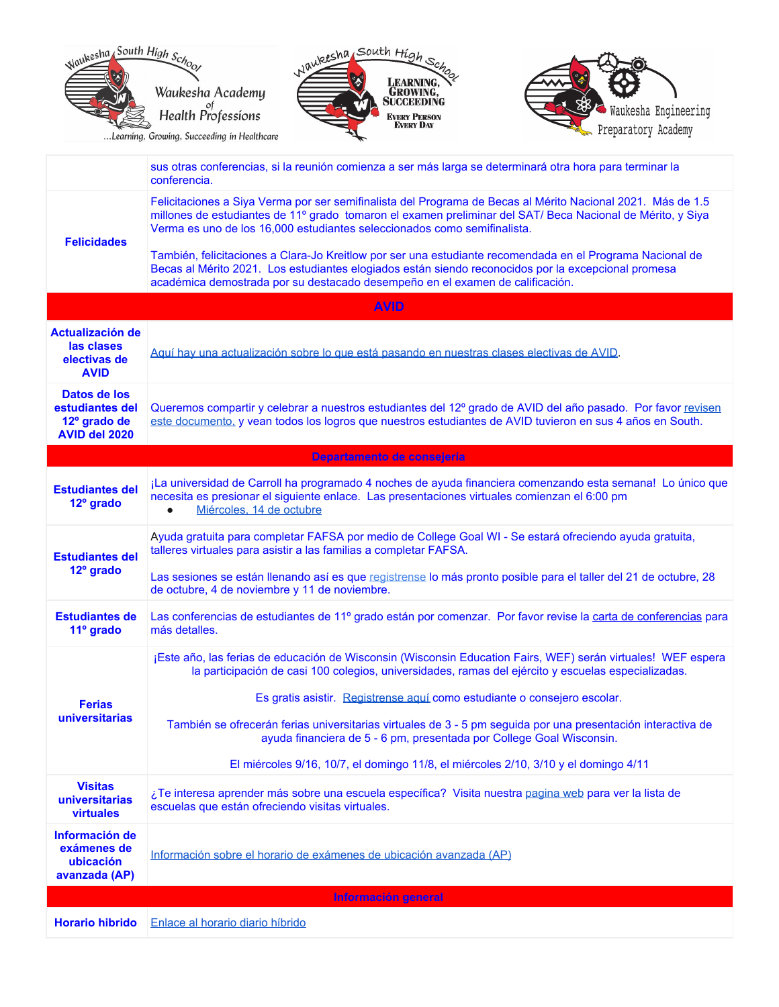

|                                                                      | conferencia.                                                                                                                                                                                                                                                                                          |
|----------------------------------------------------------------------|-------------------------------------------------------------------------------------------------------------------------------------------------------------------------------------------------------------------------------------------------------------------------------------------------------|
| <b>Felicidades</b>                                                   | Felicitaciones a Siya Verma por ser semifinalista del Programa de Becas al Mérito Nacional 2021. Más de 1.5<br>millones de estudiantes de 11º grado tomaron el examen preliminar del SAT/ Beca Nacional de Mérito, y Siya<br>Verma es uno de los 16,000 estudiantes seleccionados como semifinalista. |
|                                                                      | También, felicitaciones a Clara-Jo Kreitlow por ser una estudiante recomendada en el Programa Nacional de<br>Becas al Mérito 2021. Los estudiantes elogiados están siendo reconocidos por la excepcional promesa<br>académica demostrada por su destacado desempeño en el examen de calificación.     |
|                                                                      | <b>AVID</b>                                                                                                                                                                                                                                                                                           |
| <b>Actualización de</b><br>las clases<br>electivas de<br><b>AVID</b> | Aguí hay una actualización sobre lo que está pasando en nuestras clases electivas de AVID.                                                                                                                                                                                                            |
| Datos de los<br>estudiantes del<br>12º grado de<br>AVID del 2020     | Queremos compartir y celebrar a nuestros estudiantes del 12º grado de AVID del año pasado. Por favor revisen<br>este documento, y vean todos los logros que nuestros estudiantes de AVID tuvieron en sus 4 años en South.                                                                             |
|                                                                      | Departamento de consejería                                                                                                                                                                                                                                                                            |
| <b>Estudiantes del</b><br>12 <sup>°</sup> grado                      | ¡La universidad de Carroll ha programado 4 noches de ayuda financiera comenzando esta semana! Lo único que<br>necesita es presionar el siguiente enlace. Las presentaciones virtuales comienzan el 6:00 pm<br>Miércoles. 14 de octubre<br>$\bullet$                                                   |
| <b>Estudiantes del</b><br>12º grado                                  | Ayuda gratuita para completar FAFSA por medio de College Goal WI - Se estará ofreciendo ayuda gratuita,<br>talleres virtuales para asistir a las familias a completar FAFSA.                                                                                                                          |
|                                                                      | Las sesiones se están llenando así es que registrense lo más pronto posible para el taller del 21 de octubre, 28<br>de octubre, 4 de noviembre y 11 de noviembre.                                                                                                                                     |
| <b>Estudiantes de</b><br>11º grado                                   | Las conferencias de estudiantes de 11º grado están por comenzar. Por favor revise la carta de conferencias para<br>más detalles.                                                                                                                                                                      |
|                                                                      | ¡Este año, las ferias de educación de Wisconsin (Wisconsin Education Fairs, WEF) serán virtuales! WEF espera<br>la participación de casi 100 colegios, universidades, ramas del ejército y escuelas especializadas.                                                                                   |
| <b>Ferias</b>                                                        | Es gratis asistir. Registrense aquí como estudiante o consejero escolar.                                                                                                                                                                                                                              |
| universitarias                                                       | También se ofrecerán ferias universitarias virtuales de 3 - 5 pm seguida por una presentación interactiva de<br>ayuda financiera de 5 - 6 pm, presentada por College Goal Wisconsin.                                                                                                                  |
|                                                                      | El miércoles 9/16, 10/7, el domingo 11/8, el miércoles 2/10, 3/10 y el domingo 4/11                                                                                                                                                                                                                   |
| <b>Visitas</b><br>universitarias<br><b>virtuales</b>                 | ¿Te interesa aprender más sobre una escuela específica? Visita nuestra pagina web para ver la lista de<br>escuelas que están ofreciendo visitas virtuales.                                                                                                                                            |
| Información de<br>exámenes de<br>ubicación<br>avanzada (AP)          | Información sobre el horario de exámenes de ubicación avanzada (AP)                                                                                                                                                                                                                                   |
|                                                                      | Información general                                                                                                                                                                                                                                                                                   |
| <b>Horario hibrido</b>                                               | Enlace al horario diario híbrido                                                                                                                                                                                                                                                                      |